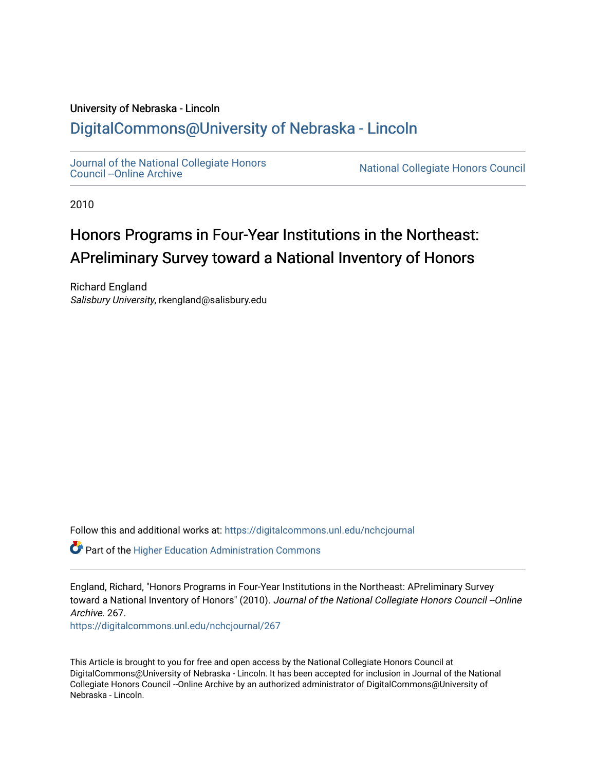### University of Nebraska - Lincoln [DigitalCommons@University of Nebraska - Lincoln](https://digitalcommons.unl.edu/)

[Journal of the National Collegiate Honors](https://digitalcommons.unl.edu/nchcjournal) 

National Collegiate Honors Council

2010

## Honors Programs in Four-Year Institutions in the Northeast: APreliminary Survey toward a National Inventory of Honors

Richard England Salisbury University, rkengland@salisbury.edu

Follow this and additional works at: [https://digitalcommons.unl.edu/nchcjournal](https://digitalcommons.unl.edu/nchcjournal?utm_source=digitalcommons.unl.edu%2Fnchcjournal%2F267&utm_medium=PDF&utm_campaign=PDFCoverPages) 

Part of the [Higher Education Administration Commons](http://network.bepress.com/hgg/discipline/791?utm_source=digitalcommons.unl.edu%2Fnchcjournal%2F267&utm_medium=PDF&utm_campaign=PDFCoverPages) 

England, Richard, "Honors Programs in Four-Year Institutions in the Northeast: APreliminary Survey toward a National Inventory of Honors" (2010). Journal of the National Collegiate Honors Council --Online Archive. 267.

[https://digitalcommons.unl.edu/nchcjournal/267](https://digitalcommons.unl.edu/nchcjournal/267?utm_source=digitalcommons.unl.edu%2Fnchcjournal%2F267&utm_medium=PDF&utm_campaign=PDFCoverPages) 

This Article is brought to you for free and open access by the National Collegiate Honors Council at DigitalCommons@University of Nebraska - Lincoln. It has been accepted for inclusion in Journal of the National Collegiate Honors Council --Online Archive by an authorized administrator of DigitalCommons@University of Nebraska - Lincoln.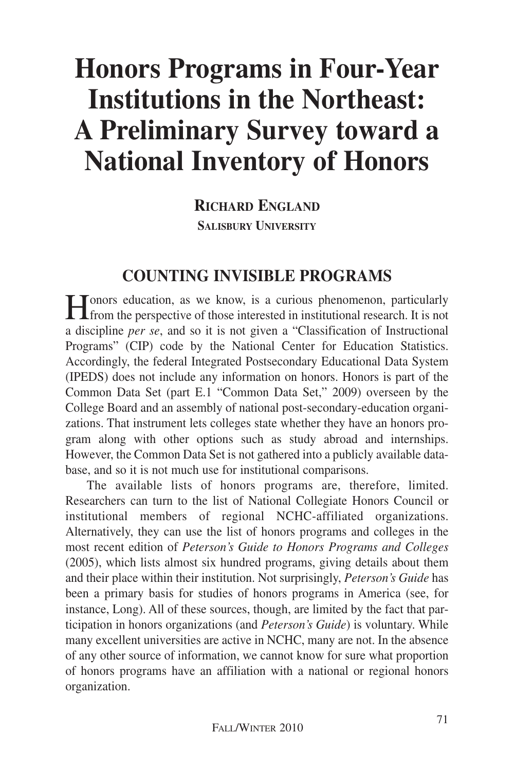# **Honors Programs in Four-Year Institutions in the Northeast: A Preliminary Survey toward a National Inventory of Honors**

**RICHARD ENGLAND SALISBURY UNIVERSITY**

### **COUNTING INVISIBLE PROGRAMS**

**H**onors education, as we know, is a curious phenomenon, particularly from the perspective of those interested in institutional research. It is not a discipline *per se*, and so it is not given a "Classification of Instructional Programs" (CIP) code by the National Center for Education Statistics. Accordingly, the federal Integrated Postsecondary Educational Data System (IPEDS) does not include any information on honors. Honors is part of the Common Data Set (part E.1 "Common Data Set," 2009) overseen by the College Board and an assembly of national post-secondary-education organizations. That instrument lets colleges state whether they have an honors program along with other options such as study abroad and internships. However, the Common Data Set is not gathered into a publicly available database, and so it is not much use for institutional comparisons.

The available lists of honors programs are, therefore, limited. Researchers can turn to the list of National Collegiate Honors Council or institutional members of regional NCHC-affiliated organizations. Alternatively, they can use the list of honors programs and colleges in the most recent edition of *Peterson's Guide to Honors Programs and Colleges* (2005), which lists almost six hundred programs, giving details about them and their place within their institution. Not surprisingly, *Peterson's Guide* has been a primary basis for studies of honors programs in America (see, for instance, Long). All of these sources, though, are limited by the fact that participation in honors organizations (and *Peterson's Guide*) is voluntary. While many excellent universities are active in NCHC, many are not. In the absence of any other source of information, we cannot know for sure what proportion of honors programs have an affiliation with a national or regional honors organization.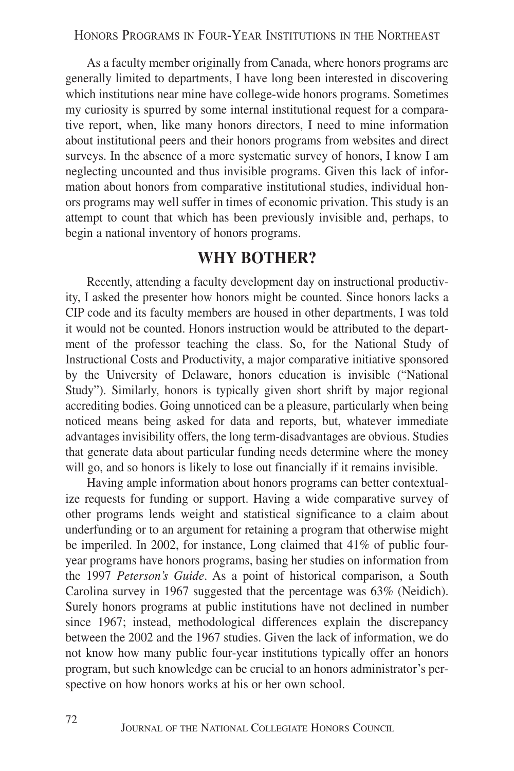As a faculty member originally from Canada, where honors programs are generally limited to departments, I have long been interested in discovering which institutions near mine have college-wide honors programs. Sometimes my curiosity is spurred by some internal institutional request for a comparative report, when, like many honors directors, I need to mine information about institutional peers and their honors programs from websites and direct surveys. In the absence of a more systematic survey of honors, I know I am neglecting uncounted and thus invisible programs. Given this lack of information about honors from comparative institutional studies, individual honors programs may well suffer in times of economic privation. This study is an attempt to count that which has been previously invisible and, perhaps, to begin a national inventory of honors programs.

### **WHY BOTHER?**

Recently, attending a faculty development day on instructional productivity, I asked the presenter how honors might be counted. Since honors lacks a CIP code and its faculty members are housed in other departments, I was told it would not be counted. Honors instruction would be attributed to the department of the professor teaching the class. So, for the National Study of Instructional Costs and Productivity, a major comparative initiative sponsored by the University of Delaware, honors education is invisible ("National Study"). Similarly, honors is typically given short shrift by major regional accrediting bodies. Going unnoticed can be a pleasure, particularly when being noticed means being asked for data and reports, but, whatever immediate advantages invisibility offers, the long term-disadvantages are obvious. Studies that generate data about particular funding needs determine where the money will go, and so honors is likely to lose out financially if it remains invisible.

Having ample information about honors programs can better contextualize requests for funding or support. Having a wide comparative survey of other programs lends weight and statistical significance to a claim about underfunding or to an argument for retaining a program that otherwise might be imperiled. In 2002, for instance, Long claimed that 41% of public fouryear programs have honors programs, basing her studies on information from the 1997 *Peterson's Guide*. As a point of historical comparison, a South Carolina survey in 1967 suggested that the percentage was 63% (Neidich). Surely honors programs at public institutions have not declined in number since 1967; instead, methodological differences explain the discrepancy between the 2002 and the 1967 studies. Given the lack of information, we do not know how many public four-year institutions typically offer an honors program, but such knowledge can be crucial to an honors administrator's perspective on how honors works at his or her own school.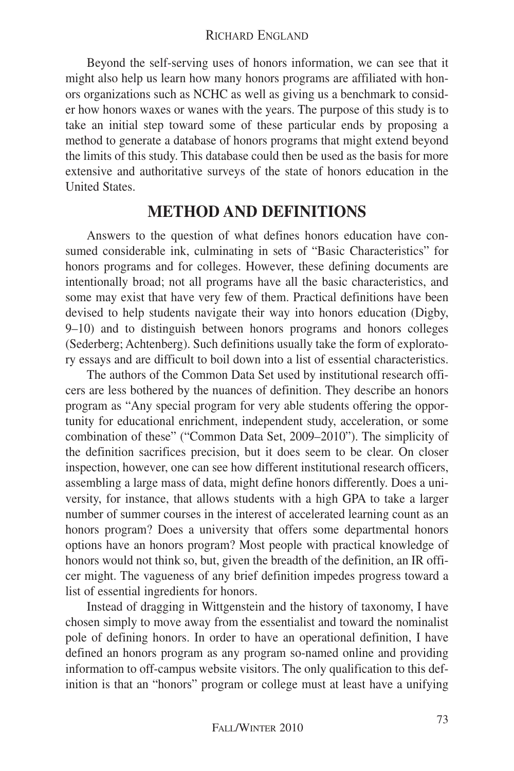#### RICHARD ENGLAND

Beyond the self-serving uses of honors information, we can see that it might also help us learn how many honors programs are affiliated with honors organizations such as NCHC as well as giving us a benchmark to consider how honors waxes or wanes with the years. The purpose of this study is to take an initial step toward some of these particular ends by proposing a method to generate a database of honors programs that might extend beyond the limits of this study. This database could then be used as the basis for more extensive and authoritative surveys of the state of honors education in the United States.

### **METHOD AND DEFINITIONS**

Answers to the question of what defines honors education have consumed considerable ink, culminating in sets of "Basic Characteristics" for honors programs and for colleges. However, these defining documents are intentionally broad; not all programs have all the basic characteristics, and some may exist that have very few of them. Practical definitions have been devised to help students navigate their way into honors education (Digby, 9–10) and to distinguish between honors programs and honors colleges (Sederberg; Achtenberg). Such definitions usually take the form of exploratory essays and are difficult to boil down into a list of essential characteristics.

The authors of the Common Data Set used by institutional research officers are less bothered by the nuances of definition. They describe an honors program as "Any special program for very able students offering the opportunity for educational enrichment, independent study, acceleration, or some combination of these" ("Common Data Set, 2009–2010"). The simplicity of the definition sacrifices precision, but it does seem to be clear. On closer inspection, however, one can see how different institutional research officers, assembling a large mass of data, might define honors differently. Does a university, for instance, that allows students with a high GPA to take a larger number of summer courses in the interest of accelerated learning count as an honors program? Does a university that offers some departmental honors options have an honors program? Most people with practical knowledge of honors would not think so, but, given the breadth of the definition, an IR officer might. The vagueness of any brief definition impedes progress toward a list of essential ingredients for honors.

Instead of dragging in Wittgenstein and the history of taxonomy, I have chosen simply to move away from the essentialist and toward the nominalist pole of defining honors. In order to have an operational definition, I have defined an honors program as any program so-named online and providing information to off-campus website visitors. The only qualification to this definition is that an "honors" program or college must at least have a unifying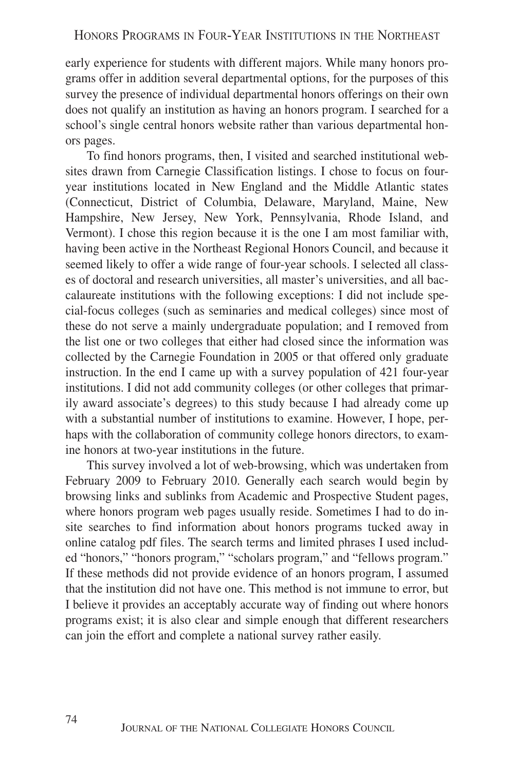early experience for students with different majors. While many honors programs offer in addition several departmental options, for the purposes of this survey the presence of individual departmental honors offerings on their own does not qualify an institution as having an honors program. I searched for a school's single central honors website rather than various departmental honors pages.

To find honors programs, then, I visited and searched institutional websites drawn from Carnegie Classification listings. I chose to focus on fouryear institutions located in New England and the Middle Atlantic states (Connecticut, District of Columbia, Delaware, Maryland, Maine, New Hampshire, New Jersey, New York, Pennsylvania, Rhode Island, and Vermont). I chose this region because it is the one I am most familiar with, having been active in the Northeast Regional Honors Council, and because it seemed likely to offer a wide range of four-year schools. I selected all classes of doctoral and research universities, all master's universities, and all baccalaureate institutions with the following exceptions: I did not include special-focus colleges (such as seminaries and medical colleges) since most of these do not serve a mainly undergraduate population; and I removed from the list one or two colleges that either had closed since the information was collected by the Carnegie Foundation in 2005 or that offered only graduate instruction. In the end I came up with a survey population of 421 four-year institutions. I did not add community colleges (or other colleges that primarily award associate's degrees) to this study because I had already come up with a substantial number of institutions to examine. However, I hope, perhaps with the collaboration of community college honors directors, to examine honors at two-year institutions in the future.

This survey involved a lot of web-browsing, which was undertaken from February 2009 to February 2010. Generally each search would begin by browsing links and sublinks from Academic and Prospective Student pages, where honors program web pages usually reside. Sometimes I had to do insite searches to find information about honors programs tucked away in online catalog pdf files. The search terms and limited phrases I used included "honors," "honors program," "scholars program," and "fellows program." If these methods did not provide evidence of an honors program, I assumed that the institution did not have one. This method is not immune to error, but I believe it provides an acceptably accurate way of finding out where honors programs exist; it is also clear and simple enough that different researchers can join the effort and complete a national survey rather easily.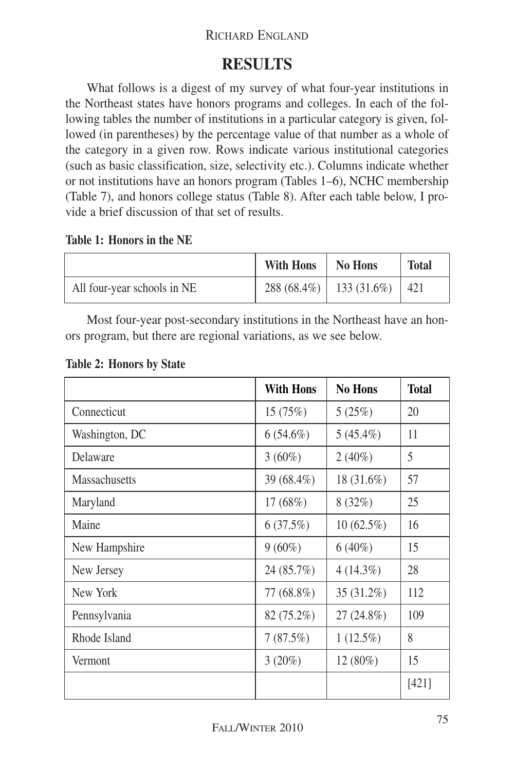#### RICHARD ENGLAND

### **RESULTS**

What follows is a digest of my survey of what four-year institutions in the Northeast states have honors programs and colleges. In each of the following tables the number of institutions in a particular category is given, followed (in parentheses) by the percentage value of that number as a whole of the category in a given row. Rows indicate various institutional categories (such as basic classification, size, selectivity etc.). Columns indicate whether or not institutions have an honors program (Tables 1–6), NCHC membership (Table 7), and honors college status (Table 8). After each table below, I provide a brief discussion of that set of results.

#### **Table 1: Honors in the NE**

|                             | With Hons | No Hons                           | <b>Total</b> |
|-----------------------------|-----------|-----------------------------------|--------------|
| All four-year schools in NE |           | $288(68.4\%)$   133 (31.6%)   421 |              |

Most four-year post-secondary institutions in the Northeast have an honors program, but there are regional variations, as we see below.

|                      | <b>With Hons</b> | <b>No Hons</b> | <b>Total</b> |
|----------------------|------------------|----------------|--------------|
| Connecticut          | 15(75%)          | 5(25%)         | 20           |
| Washington, DC       | $6(54.6\%)$      | $5(45.4\%)$    | 11           |
| Delaware             | $3(60\%)$        | $2(40\%)$      | 5            |
| <b>Massachusetts</b> | 39 (68.4%)       | 18 (31.6%)     | 57           |
| Maryland             | 17(68%)          | 8(32%)         | 25           |
| Maine                | 6(37.5%)         | $10(62.5\%)$   | 16           |
| New Hampshire        | $9(60\%)$        | $6(40\%)$      | 15           |
| New Jersey           | 24 (85.7%)       | $4(14.3\%)$    | 28           |
| New York             | 77 (68.8%)       | 35 (31.2%)     | 112          |
| Pennsylvania         | 82 (75.2%)       | 27 (24.8%)     | 109          |
| Rhode Island         | 7(87.5%)         | $1(12.5\%)$    | 8            |
| Vermont              | 3(20%)           | 12 (80%)       | 15           |
|                      |                  |                | [421]        |

#### **Table 2: Honors by State**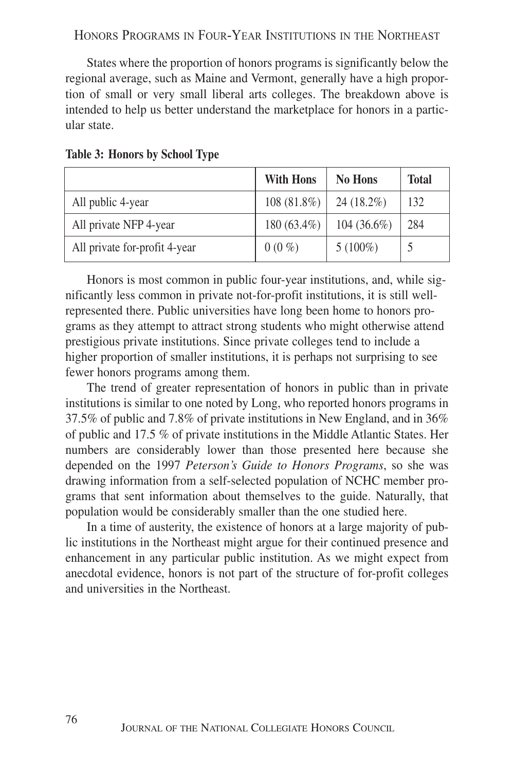States where the proportion of honors programs is significantly below the regional average, such as Maine and Vermont, generally have a high proportion of small or very small liberal arts colleges. The breakdown above is intended to help us better understand the marketplace for honors in a particular state.

|                               | <b>With Hons</b> | <b>No Hons</b> | <b>Total</b> |
|-------------------------------|------------------|----------------|--------------|
| All public 4-year             | 108 (81.8%)      | 24 (18.2%)     | 132          |
| All private NFP 4-year        | $180(63.4\%)$    | $104(36.6\%)$  | 284          |
| All private for-profit 4-year | $0(0\%)$         | $5(100\%)$     |              |

#### **Table 3: Honors by School Type**

Honors is most common in public four-year institutions, and, while significantly less common in private not-for-profit institutions, it is still wellrepresented there. Public universities have long been home to honors programs as they attempt to attract strong students who might otherwise attend prestigious private institutions. Since private colleges tend to include a higher proportion of smaller institutions, it is perhaps not surprising to see fewer honors programs among them.

The trend of greater representation of honors in public than in private institutions is similar to one noted by Long, who reported honors programs in 37.5% of public and 7.8% of private institutions in New England, and in 36% of public and 17.5 % of private institutions in the Middle Atlantic States. Her numbers are considerably lower than those presented here because she depended on the 1997 *Peterson's Guide to Honors Programs*, so she was drawing information from a self-selected population of NCHC member programs that sent information about themselves to the guide. Naturally, that population would be considerably smaller than the one studied here.

In a time of austerity, the existence of honors at a large majority of public institutions in the Northeast might argue for their continued presence and enhancement in any particular public institution. As we might expect from anecdotal evidence, honors is not part of the structure of for-profit colleges and universities in the Northeast.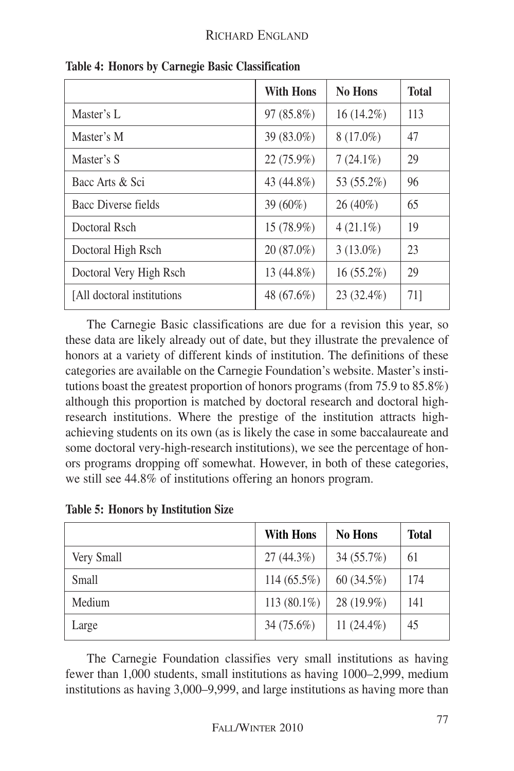|                             | <b>With Hons</b> | <b>No Hons</b> | <b>Total</b> |
|-----------------------------|------------------|----------------|--------------|
| Master's L                  | 97 (85.8%)       | $16(14.2\%)$   | 113          |
| Master's M                  | 39 (83.0%)       | $8(17.0\%)$    | 47           |
| Master's S                  | 22 (75.9%)       | $7(24.1\%)$    | 29           |
| Bacc Arts & Sci             | 43 (44.8%)       | 53 (55.2%)     | 96           |
| Bacc Diverse fields         | 39 (60%)         | 26 (40%)       | 65           |
| Doctoral Rsch               | 15 (78.9%)       | $4(21.1\%)$    | 19           |
| Doctoral High Rsch          | 20 (87.0%)       | $3(13.0\%)$    | 23           |
| Doctoral Very High Rsch     | 13 (44.8%)       | $16(55.2\%)$   | 29           |
| [All doctoral institutions] | 48 (67.6%)       | 23 (32.4%)     | 71]          |

**Table 4: Honors by Carnegie Basic Classification**

The Carnegie Basic classifications are due for a revision this year, so these data are likely already out of date, but they illustrate the prevalence of honors at a variety of different kinds of institution. The definitions of these categories are available on the Carnegie Foundation's website. Master's institutions boast the greatest proportion of honors programs (from 75.9 to 85.8%) although this proportion is matched by doctoral research and doctoral highresearch institutions. Where the prestige of the institution attracts highachieving students on its own (as is likely the case in some baccalaureate and some doctoral very-high-research institutions), we see the percentage of honors programs dropping off somewhat. However, in both of these categories, we still see 44.8% of institutions offering an honors program.

| <b>Table 5: Honors by Institution Size</b> |  |  |  |
|--------------------------------------------|--|--|--|
|--------------------------------------------|--|--|--|

|            | <b>With Hons</b> | <b>No Hons</b> | Total |
|------------|------------------|----------------|-------|
| Very Small | $27(44.3\%)$     | 34(55.7%)      | 61    |
| Small      | $114(65.5\%)$    | 60(34.5%)      | 174   |
| Medium     | 113 $(80.1\%)$   | 28 (19.9%)     | 141   |
| Large      | 34 (75.6%)       | 11 $(24.4\%)$  | 45    |

The Carnegie Foundation classifies very small institutions as having fewer than 1,000 students, small institutions as having 1000–2,999, medium institutions as having 3,000–9,999, and large institutions as having more than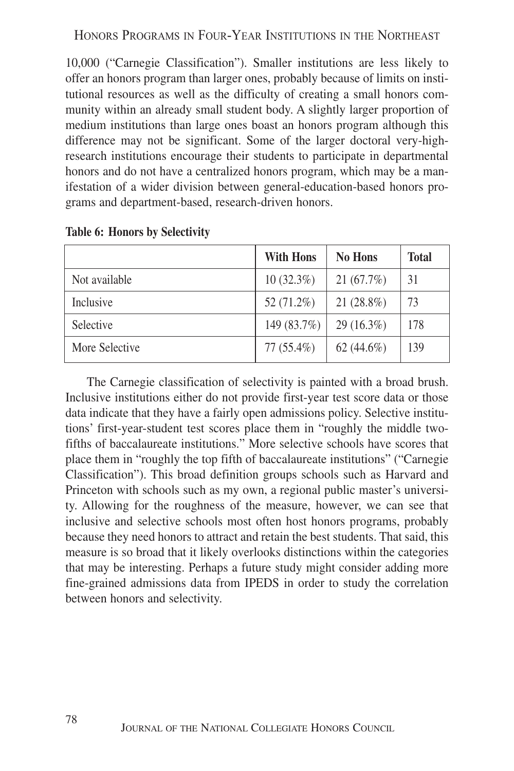10,000 ("Carnegie Classification"). Smaller institutions are less likely to offer an honors program than larger ones, probably because of limits on institutional resources as well as the difficulty of creating a small honors community within an already small student body. A slightly larger proportion of medium institutions than large ones boast an honors program although this difference may not be significant. Some of the larger doctoral very-highresearch institutions encourage their students to participate in departmental honors and do not have a centralized honors program, which may be a manifestation of a wider division between general-education-based honors programs and department-based, research-driven honors.

|                | <b>With Hons</b> | <b>No Hons</b> | <b>Total</b> |
|----------------|------------------|----------------|--------------|
| Not available  | $10(32.3\%)$     | 21(67.7%)      | 31           |
| Inclusive      | 52 (71.2%)       | $21(28.8\%)$   | 73           |
| Selective      | 149 (83.7%)      | $29(16.3\%)$   | 178          |
| More Selective | $77(55.4\%)$     | $62(44.6\%)$   | 139          |

**Table 6: Honors by Selectivity**

The Carnegie classification of selectivity is painted with a broad brush. Inclusive institutions either do not provide first-year test score data or those data indicate that they have a fairly open admissions policy. Selective institutions' first-year-student test scores place them in "roughly the middle twofifths of baccalaureate institutions." More selective schools have scores that place them in "roughly the top fifth of baccalaureate institutions" ("Carnegie Classification"). This broad definition groups schools such as Harvard and Princeton with schools such as my own, a regional public master's university. Allowing for the roughness of the measure, however, we can see that inclusive and selective schools most often host honors programs, probably because they need honors to attract and retain the best students. That said, this measure is so broad that it likely overlooks distinctions within the categories that may be interesting. Perhaps a future study might consider adding more fine-grained admissions data from IPEDS in order to study the correlation between honors and selectivity.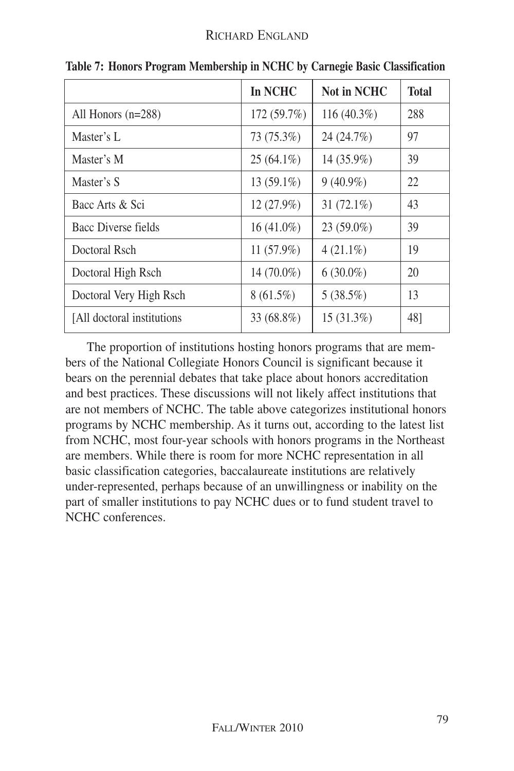|                             | In NCHC      | <b>Not in NCHC</b> | <b>Total</b> |
|-----------------------------|--------------|--------------------|--------------|
| All Honors $(n=288)$        | 172 (59.7%)  | 116 (40.3%)        | 288          |
| Master's L                  | 73 (75.3%)   | 24 (24.7%)         | 97           |
| Master's M                  | $25(64.1\%)$ | 14 (35.9%)         | 39           |
| Master's S                  | $13(59.1\%)$ | $9(40.9\%)$        | 22           |
| Bacc Arts & Sci             | 12(27.9%)    | 31 $(72.1\%)$      | 43           |
| <b>Bacc Diverse fields</b>  | $16(41.0\%)$ | 23 (59.0%)         | 39           |
| Doctoral Rsch               | $11(57.9\%)$ | $4(21.1\%)$        | 19           |
| Doctoral High Rsch          | 14 (70.0%)   | $6(30.0\%)$        | 20           |
| Doctoral Very High Rsch     | $8(61.5\%)$  | 5(38.5%)           | 13           |
| [All doctoral institutions] | 33 (68.8%)   | 15 (31.3%)         | 48]          |

**Table 7: Honors Program Membership in NCHC by Carnegie Basic Classification**

The proportion of institutions hosting honors programs that are members of the National Collegiate Honors Council is significant because it bears on the perennial debates that take place about honors accreditation and best practices. These discussions will not likely affect institutions that are not members of NCHC. The table above categorizes institutional honors programs by NCHC membership. As it turns out, according to the latest list from NCHC, most four-year schools with honors programs in the Northeast are members. While there is room for more NCHC representation in all basic classification categories, baccalaureate institutions are relatively under-represented, perhaps because of an unwillingness or inability on the part of smaller institutions to pay NCHC dues or to fund student travel to NCHC conferences.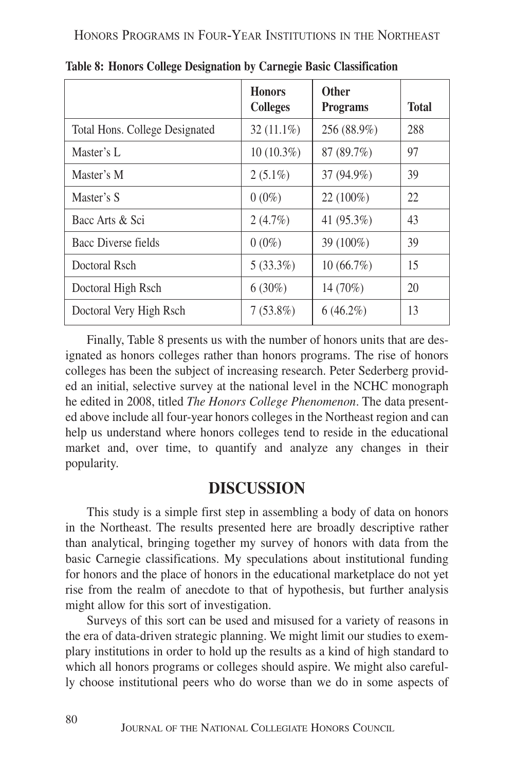|                                | <b>Honors</b><br><b>Colleges</b> | <b>Other</b><br><b>Programs</b> | <b>Total</b> |
|--------------------------------|----------------------------------|---------------------------------|--------------|
| Total Hons. College Designated | $32(11.1\%)$                     | 256 (88.9%)                     | 288          |
| Master's L                     | $10(10.3\%)$                     | 87 (89.7%)                      | 97           |
| Master's M                     | $2(5.1\%)$                       | 37 (94.9%)                      | 39           |
| Master's S                     | $0(0\%)$                         | 22 (100%)                       | 22           |
| Bacc Arts & Sci                | 2(4.7%)                          | 41 (95.3%)                      | 43           |
| Bacc Diverse fields            | $0(0\%)$                         | 39 (100%)                       | 39           |
| Doctoral Rsch                  | $5(33.3\%)$                      | 10(66.7%)                       | 15           |
| Doctoral High Rsch             | $6(30\%)$                        | 14 (70%)                        | 20           |
| Doctoral Very High Rsch        | $7(53.8\%)$                      | $6(46.2\%)$                     | 13           |

**Table 8: Honors College Designation by Carnegie Basic Classification**

Finally, Table 8 presents us with the number of honors units that are designated as honors colleges rather than honors programs. The rise of honors colleges has been the subject of increasing research. Peter Sederberg provided an initial, selective survey at the national level in the NCHC monograph he edited in 2008, titled *The Honors College Phenomenon*. The data presented above include all four-year honors colleges in the Northeast region and can help us understand where honors colleges tend to reside in the educational market and, over time, to quantify and analyze any changes in their popularity.

### **DISCUSSION**

This study is a simple first step in assembling a body of data on honors in the Northeast. The results presented here are broadly descriptive rather than analytical, bringing together my survey of honors with data from the basic Carnegie classifications. My speculations about institutional funding for honors and the place of honors in the educational marketplace do not yet rise from the realm of anecdote to that of hypothesis, but further analysis might allow for this sort of investigation.

Surveys of this sort can be used and misused for a variety of reasons in the era of data-driven strategic planning. We might limit our studies to exemplary institutions in order to hold up the results as a kind of high standard to which all honors programs or colleges should aspire. We might also carefully choose institutional peers who do worse than we do in some aspects of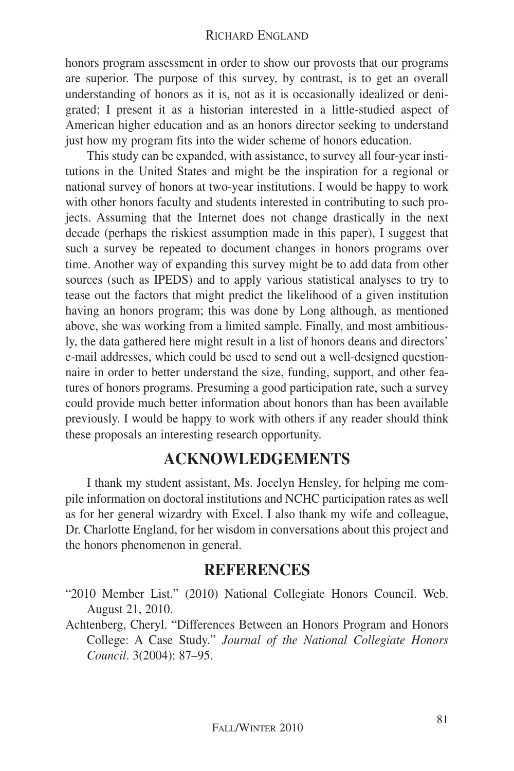honors program assessment in order to show our provosts that our programs are superior. The purpose of this survey, by contrast, is to get an overall understanding of honors as it is, not as it is occasionally idealized or denigrated; I present it as a historian interested in a little-studied aspect of American higher education and as an honors director seeking to understand just how my program fits into the wider scheme of honors education.

This study can be expanded, with assistance, to survey all four-year institutions in the United States and might be the inspiration for a regional or national survey of honors at two-year institutions. I would be happy to work with other honors faculty and students interested in contributing to such projects. Assuming that the Internet does not change drastically in the next decade (perhaps the riskiest assumption made in this paper), I suggest that such a survey be repeated to document changes in honors programs over time. Another way of expanding this survey might be to add data from other sources (such as IPEDS) and to apply various statistical analyses to try to tease out the factors that might predict the likelihood of a given institution having an honors program; this was done by Long although, as mentioned above, she was working from a limited sample. Finally, and most ambitiously, the data gathered here might result in a list of honors deans and directors' e-mail addresses, which could be used to send out a well-designed questionnaire in order to better understand the size, funding, support, and other features of honors programs. Presuming a good participation rate, such a survey could provide much better information about honors than has been available previously. I would be happy to work with others if any reader should think these proposals an interesting research opportunity.

### **ACKNOWLEDGEMENTS**

I thank my student assistant, Ms. Jocelyn Hensley, for helping me compile information on doctoral institutions and NCHC participation rates as well as for her general wizardry with Excel. I also thank my wife and colleague, Dr. Charlotte England, for her wisdom in conversations about this project and the honors phenomenon in general.

#### **REFERENCES**

- "2010 Member List." (2010) National Collegiate Honors Council. Web. August 21, 2010.
- Achtenberg, Cheryl. "Differences Between an Honors Program and Honors College: A Case Study." *Journal of the National Collegiate Honors Council*. 3(2004): 87–95.